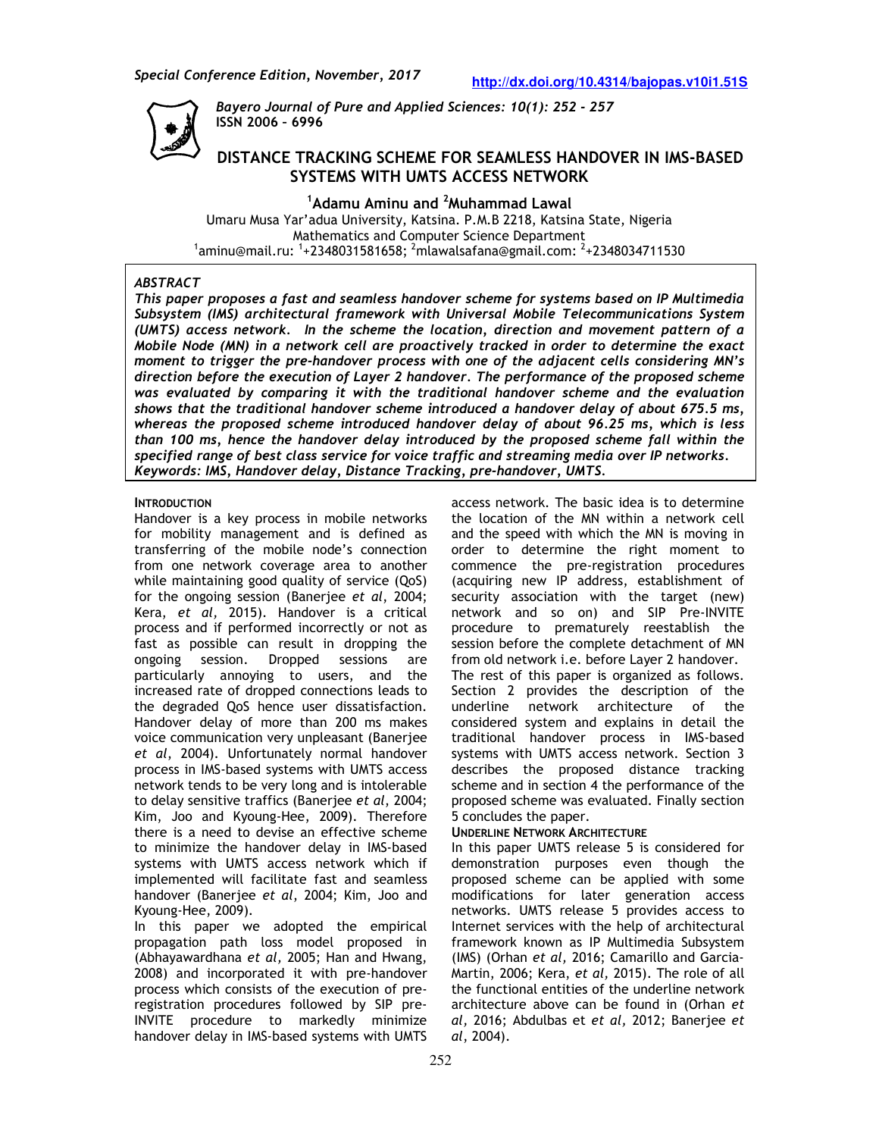

*Bayero Journal of Pure and Applied Sciences: 10(1): 252 - 257*  **ISSN 2006 – 6996** 

# **DISTANCE TRACKING SCHEME FOR SEAMLESS HANDOVER IN IMS-BASED SYSTEMS WITH UMTS ACCESS NETWORK**

**<sup>1</sup>Adamu Aminu and <sup>2</sup>Muhammad Lawal**  Umaru Musa Yar'adua University, Katsina. P.M.B 2218, Katsina State, Nigeria Mathematics and Computer Science Department  $^{\rm 1}$ aminu@mail.ru:  $^{\rm 1}$ +2348031581658;  $^{\rm 2}$ mlawalsafana@gmail.com:  $^{\rm 2}$ +2348034711530

## *ABSTRACT*

*This paper proposes a fast and seamless handover scheme for systems based on IP Multimedia Subsystem (IMS) architectural framework with Universal Mobile Telecommunications System (UMTS) access network. In the scheme the location, direction and movement pattern of a Mobile Node (MN) in a network cell are proactively tracked in order to determine the exact moment to trigger the pre-handover process with one of the adjacent cells considering MN's direction before the execution of Layer 2 handover. The performance of the proposed scheme was evaluated by comparing it with the traditional handover scheme and the evaluation shows that the traditional handover scheme introduced a handover delay of about 675.5 ms, whereas the proposed scheme introduced handover delay of about 96.25 ms, which is less than 100 ms, hence the handover delay introduced by the proposed scheme fall within the specified range of best class service for voice traffic and streaming media over IP networks. Keywords: IMS, Handover delay, Distance Tracking, pre-handover, UMTS.*

## **INTRODUCTION**

Handover is a key process in mobile networks for mobility management and is defined as transferring of the mobile node's connection from one network coverage area to another while maintaining good quality of service (QoS) for the ongoing session (Banerjee *et al*, 2004; Kera, *et al,* 2015). Handover is a critical process and if performed incorrectly or not as fast as possible can result in dropping the ongoing session. Dropped sessions are particularly annoying to users, and the increased rate of dropped connections leads to the degraded QoS hence user dissatisfaction. Handover delay of more than 200 ms makes voice communication very unpleasant (Banerjee *et al*, 2004). Unfortunately normal handover process in IMS-based systems with UMTS access network tends to be very long and is intolerable to delay sensitive traffics (Banerjee *et al*, 2004; Kim, Joo and Kyoung-Hee, 2009). Therefore there is a need to devise an effective scheme to minimize the handover delay in IMS-based systems with UMTS access network which if implemented will facilitate fast and seamless handover (Banerjee *et al*, 2004; Kim, Joo and Kyoung-Hee, 2009).

In this paper we adopted the empirical propagation path loss model proposed in (Abhayawardhana *et al,* 2005; Han and Hwang, 2008) and incorporated it with pre-handover process which consists of the execution of preregistration procedures followed by SIP pre-INVITE procedure to markedly minimize handover delay in IMS-based systems with UMTS

access network. The basic idea is to determine the location of the MN within a network cell and the speed with which the MN is moving in order to determine the right moment to commence the pre-registration procedures (acquiring new IP address, establishment of security association with the target (new) network and so on) and SIP Pre-INVITE procedure to prematurely reestablish the session before the complete detachment of MN from old network i.e. before Layer 2 handover. The rest of this paper is organized as follows. Section 2 provides the description of the underline network architecture of the considered system and explains in detail the traditional handover process in IMS-based systems with UMTS access network. Section 3 describes the proposed distance tracking scheme and in section 4 the performance of the proposed scheme was evaluated. Finally section 5 concludes the paper.

### **UNDERLINE NETWORK ARCHITECTURE**

In this paper UMTS release 5 is considered for demonstration purposes even though the proposed scheme can be applied with some modifications for later generation access networks. UMTS release 5 provides access to Internet services with the help of architectural framework known as IP Multimedia Subsystem (IMS) (Orhan *et al,* 2016; Camarillo and Garcia-Martin, 2006; Kera, *et al,* 2015). The role of all the functional entities of the underline network architecture above can be found in (Orhan *et al,* 2016; Abdulbas et *et al,* 2012; Banerjee *et al*, 2004).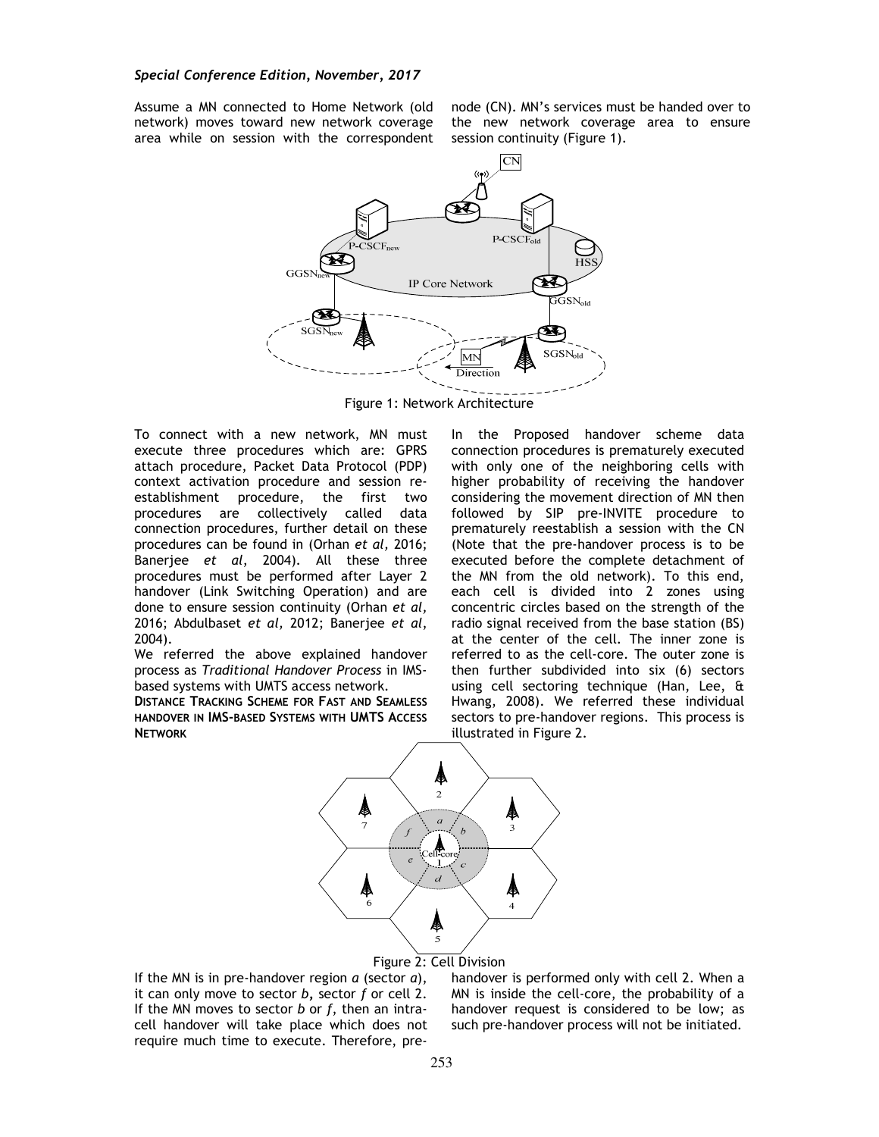Assume a MN connected to Home Network (old network) moves toward new network coverage area while on session with the correspondent

node (CN). MN's services must be handed over to the new network coverage area to ensure session continuity (Figure 1).



Figure 1: Network Architecture

To connect with a new network, MN must execute three procedures which are: GPRS attach procedure, Packet Data Protocol (PDP) context activation procedure and session reestablishment procedure, the first two procedures are collectively called data connection procedures, further detail on these procedures can be found in (Orhan *et al,* 2016; Banerjee *et al*, 2004). All these three procedures must be performed after Layer 2 handover (Link Switching Operation) and are done to ensure session continuity (Orhan *et al,*  2016; Abdulbaset *et al,* 2012; Banerjee *et al*, 2004).

We referred the above explained handover process as *Traditional Handover Process* in IMSbased systems with UMTS access network.

**DISTANCE TRACKING SCHEME FOR FAST AND SEAMLESS HANDOVER IN IMS-BASED SYSTEMS WITH UMTS ACCESS NETWORK**

In the Proposed handover scheme data connection procedures is prematurely executed with only one of the neighboring cells with higher probability of receiving the handover considering the movement direction of MN then followed by SIP pre-INVITE procedure to prematurely reestablish a session with the CN (Note that the pre-handover process is to be executed before the complete detachment of the MN from the old network). To this end, each cell is divided into 2 zones using concentric circles based on the strength of the radio signal received from the base station (BS) at the center of the cell. The inner zone is referred to as the cell-core. The outer zone is then further subdivided into six (6) sectors using cell sectoring technique (Han, Lee, & Hwang, 2008). We referred these individual sectors to pre-handover regions. This process is illustrated in Figure 2.



Figure 2: Cell Division

If the MN is in pre-handover region *a* (sector *a*), it can only move to sector *b***,** sector *f* or cell 2. If the MN moves to sector *b* or *f*, then an intracell handover will take place which does not require much time to execute. Therefore, prehandover is performed only with cell 2. When a MN is inside the cell-core, the probability of a handover request is considered to be low; as such pre-handover process will not be initiated.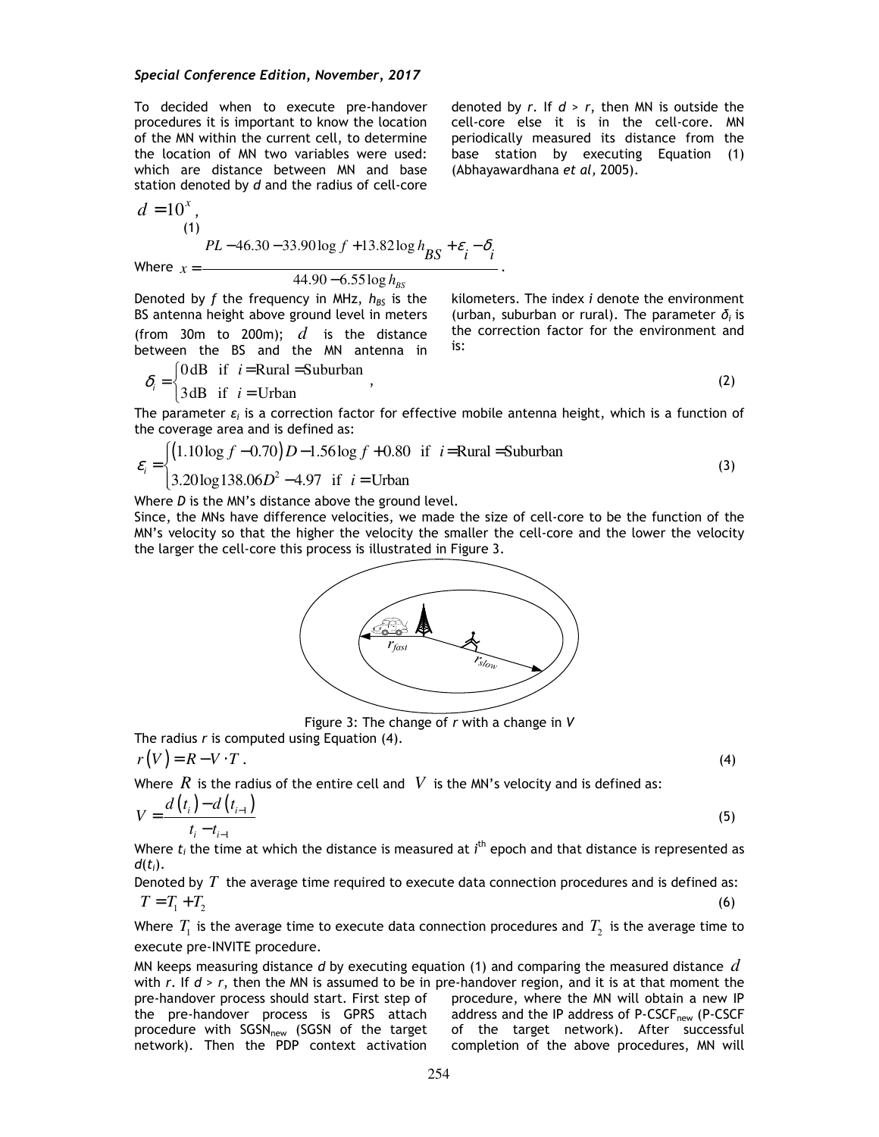To decided when to execute pre-handover procedures it is important to know the location of the MN within the current cell, to determine the location of MN two variables were used: which are distance between MN and base station denoted by *d* and the radius of cell-core

 $d = 10^x$ , (1) Where  $x=$  $PL - 46.30 - 33.90 \log f + 13.82 \log h_{BS} + \varepsilon_i - \delta_i$ 

44.90 6.55log *BS h* −

Denoted by *f* the frequency in MHz, *hBS* is the BS antenna height above ground level in meters (from 30m to 200m); *d* is the distance between the BS and the MN antenna in

kilometers. The index *i* denote the environment (urban, suburban or rural). The parameter *δi* is the correction factor for the environment and is:

denoted by *r*. If *d* > *r*, then MN is outside the cell-core else it is in the cell-core. MN periodically measured its distance from the base station by executing Equation (1)

(Abhayawardhana *et al,* 2005).

.

$$
\delta_i = \begin{cases} 0 \, \text{dB} & \text{if } i = \text{Rural} = \text{Suburban} \\ 3 \, \text{dB} & \text{if } i = \text{Urban} \end{cases} \tag{2}
$$

The parameter  $\varepsilon_i$  is a correction factor for effective mobile antenna height, which is a function of the coverage area and is defined as:

$$
\varepsilon_i = \begin{cases} (1.10 \log f - 0.70) D - 1.56 \log f + 0.80 & \text{if } i = \text{Rural} = \text{Suburban} \\ 3.20 \log 138.06 D^2 - 4.97 & \text{if } i = \text{Urban} \end{cases}
$$
(3)

Where *D* is the MN's distance above the ground level.

Since, the MNs have difference velocities, we made the size of cell-core to be the function of the MN's velocity so that the higher the velocity the smaller the cell-core and the lower the velocity the larger the cell-core this process is illustrated in Figure 3.



Figure 3: The change of *r* with a change in *V* 

The radius *r* is computed using Equation (4).

$$
r(V) = R - V \cdot T \tag{4}
$$

Where  $R$  is the radius of the entire cell and  $V$  is the MN's velocity and is defined as:

$$
V = \frac{d(t_i) - d(t_{i-1})}{t_i - t_{i-1}}
$$
\n(5)

Where  $t_i$  the time at which the distance is measured at *i*<sup>th</sup> epoch and that distance is represented as *d*(*ti*).

Denoted by *T* the average time required to execute data connection procedures and is defined as:  $T = T_1 + T_2$  (6)

Where  $\, T_{_{\!1}}$  is the average time to execute data connection procedures and  $\, T_{_{\!2}}\,$  is the average time to execute pre-INVITE procedure.

MN keeps measuring distance *d* by executing equation (1) and comparing the measured distance *d* with  $r$ . If  $d > r$ , then the MN is assumed to be in pre-handover region, and it is at that moment the pre-handover process should start. First step of the pre-handover process is GPRS attach procedure with SGSN<sub>new</sub> (SGSN of the target network). Then the PDP context activation procedure, where the MN will obtain a new IP address and the IP address of P-CSCF<sub>new</sub> (P-CSCF of the target network). After successful completion of the above procedures, MN will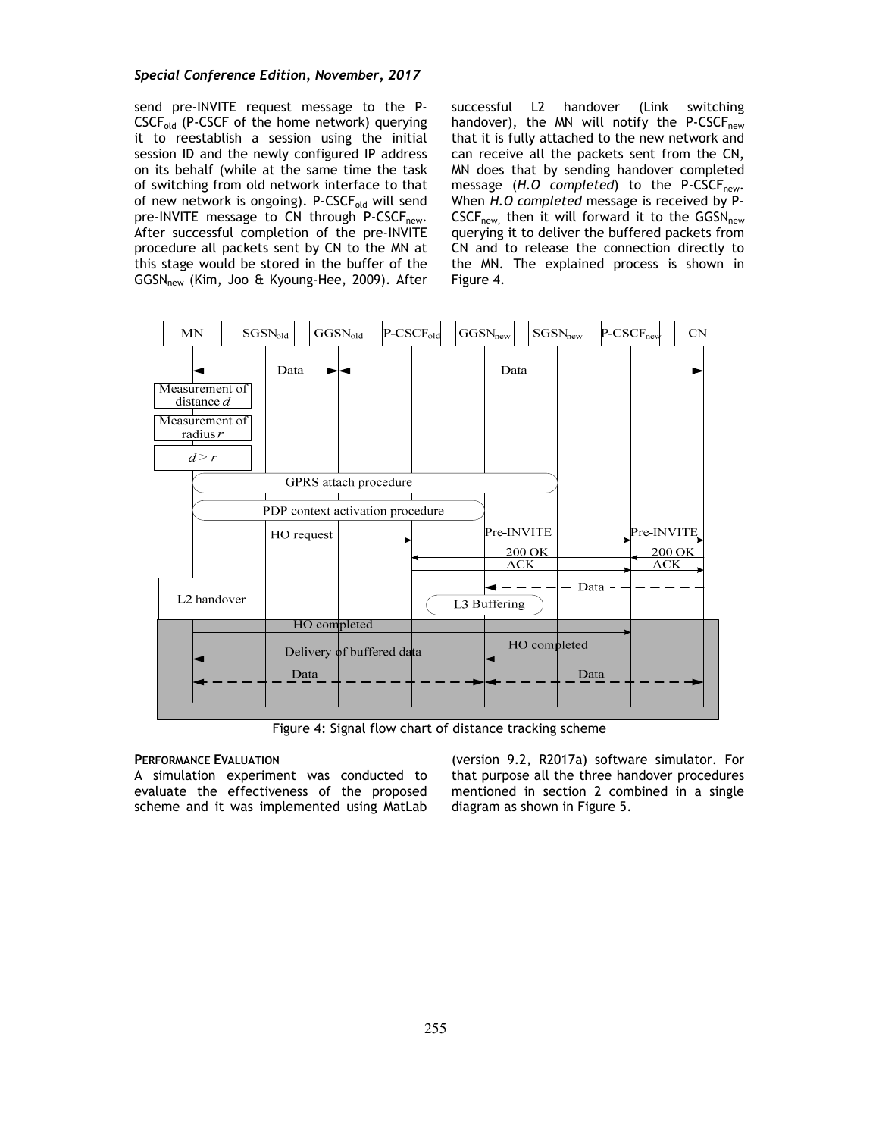### *Special Conference Edition, November, 2017*

send pre-INVITE request message to the P- $CSCF_{old}$  (P-CSCF of the home network) querying it to reestablish a session using the initial session ID and the newly configured IP address on its behalf (while at the same time the task of switching from old network interface to that of new network is ongoing). P-CSCF<sub>old</sub> will send pre-INVITE message to CN through P-CSCF<sub>new</sub>. After successful completion of the pre-INVITE procedure all packets sent by CN to the MN at this stage would be stored in the buffer of the GGSN<sub>new</sub> (Kim, Joo & Kyoung-Hee, 2009). After successful L2 handover (Link switching handover), the MN will notify the P-CSCF $_{\text{new}}$ that it is fully attached to the new network and can receive all the packets sent from the CN, MN does that by sending handover completed message (H.O completed) to the P-CSCF<sub>new</sub>. When *H.O completed* message is received by P- $CSCF<sub>new</sub>$  then it will forward it to the  $GGSN<sub>new</sub>$ querying it to deliver the buffered packets from CN and to release the connection directly to the MN. The explained process is shown in Figure 4.



Figure 4: Signal flow chart of distance tracking scheme

#### **PERFORMANCE EVALUATION**

A simulation experiment was conducted to evaluate the effectiveness of the proposed scheme and it was implemented using MatLab

(version 9.2, R2017a) software simulator. For that purpose all the three handover procedures mentioned in section 2 combined in a single diagram as shown in Figure 5.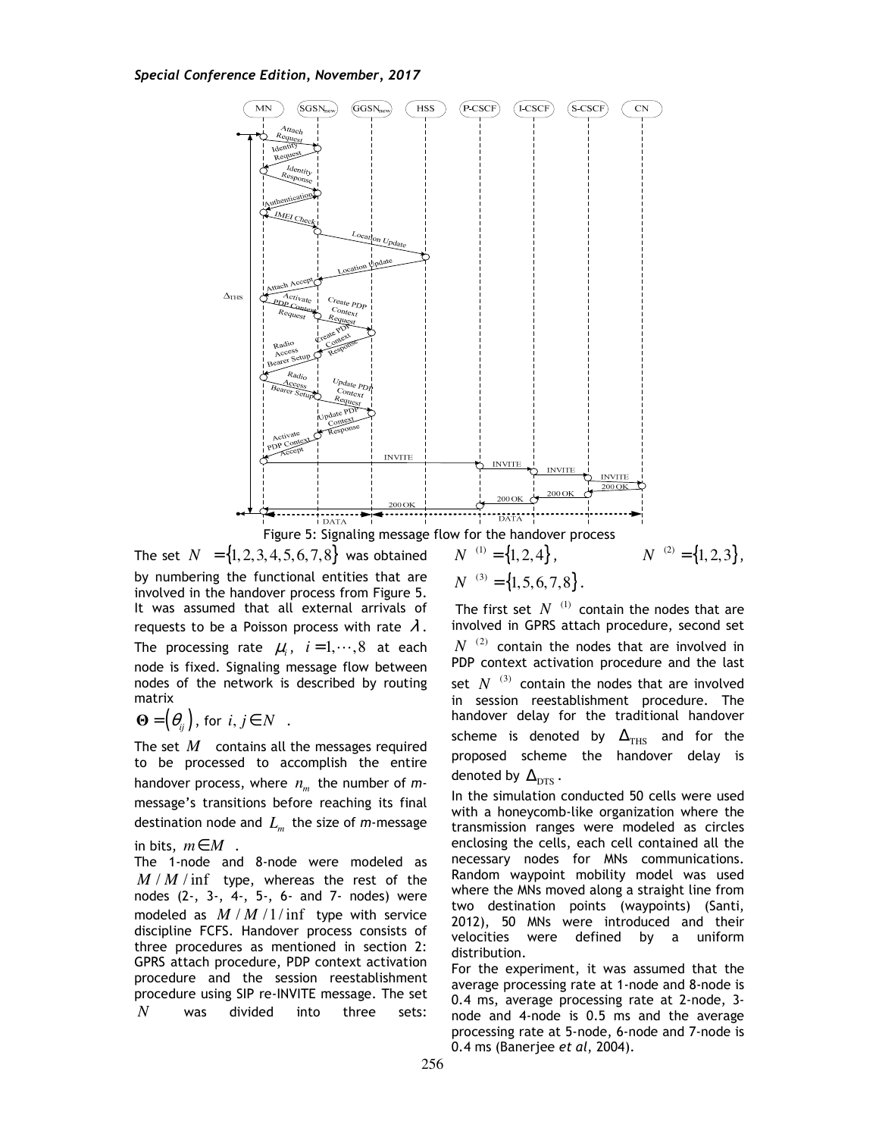



The set  $N = \{1, 2, 3, 4, 5, 6, 7, 8\}$  was obtained by numbering the functional entities that are involved in the handover process from Figure 5. It was assumed that all external arrivals of requests to be a Poisson process with rate  $\lambda$ . The processing rate  $\mu_i$ ,  $i=1,\dots,8$  at each node is fixed. Signaling message flow between nodes of the network is described by routing matrix

$$
\mathbf{\Theta} = (\theta_{ij}), \text{ for } i, j \in N \quad .
$$

The set *M* contains all the messages required to be processed to accomplish the entire handover process, where  $n_m$  the number of  $m$ message's transitions before reaching its final destination node and *L<sup>m</sup>* the size of *m*-message

in bits, *m*∈*M* .

The 1-node and 8-node were modeled as  $M/M/\text{inf}$  type, whereas the rest of the nodes (2-, 3-, 4-, 5-, 6- and 7- nodes) were modeled as  $M/M/1/$  inf type with service discipline FCFS. Handover process consists of three procedures as mentioned in section 2: GPRS attach procedure, PDP context activation procedure and the session reestablishment procedure using SIP re-INVITE message. The set *N* was divided into three sets:

$$
N^{(1)} = \{1, 2, 4\},
$$
  
\n
$$
N^{(3)} = \{1, 5, 6, 7, 8\}.
$$

 $N^{(1)} = \{1, 2, 4\}, \qquad N^{(2)} = \{1, 2, 3\},$ 

The first set  $N^{(1)}$  contain the nodes that are involved in GPRS attach procedure, second set  $N^{(2)}$  contain the nodes that are involved in PDP context activation procedure and the last set  $N^{(3)}$  contain the nodes that are involved in session reestablishment procedure. The handover delay for the traditional handover scheme is denoted by  $\Delta_{\text{THS}}$  and for the proposed scheme the handover delay is denoted by  $\Delta_{\text{DTS}}$ .

In the simulation conducted 50 cells were used with a honeycomb-like organization where the transmission ranges were modeled as circles enclosing the cells, each cell contained all the necessary nodes for MNs communications. Random waypoint mobility model was used where the MNs moved along a straight line from two destination points (waypoints) (Santi, 2012), 50 MNs were introduced and their velocities were defined by a uniform distribution.

For the experiment, it was assumed that the average processing rate at 1-node and 8-node is 0.4 ms, average processing rate at 2-node, 3 node and 4-node is 0.5 ms and the average processing rate at 5-node, 6-node and 7-node is 0.4 ms (Banerjee *et al*, 2004).